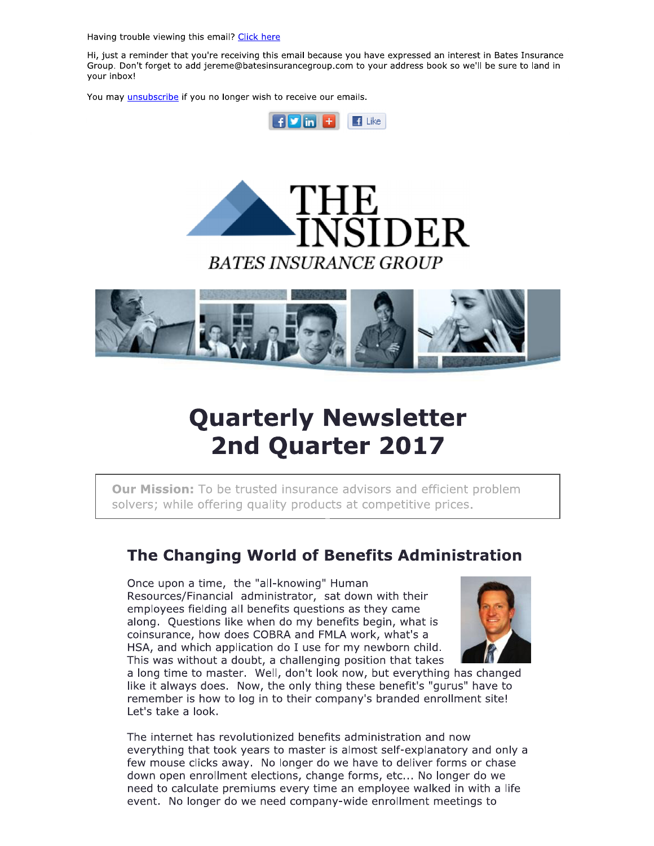Having trouble viewing this email? Click here

Hi, just a reminder that you're receiving this email because you have expressed an interest in Bates Insurance Group. Don't forget to add jereme@batesinsurancegroup.com to your address book so we'll be sure to land in your inbox!

You may unsubscribe if you no longer wish to receive our emails.







# **Quarterly Newsletter** 2nd Quarter 2017

**Our Mission:** To be trusted insurance advisors and efficient problem solvers; while offering quality products at competitive prices.

### The Changing World of Benefits Administration

Once upon a time, the "all-knowing" Human Resources/Financial administrator, sat down with their employees fielding all benefits questions as they came along. Questions like when do my benefits begin, what is coinsurance, how does COBRA and FMLA work, what's a HSA, and which application do I use for my newborn child. This was without a doubt, a challenging position that takes



a long time to master. Well, don't look now, but everything has changed like it always does. Now, the only thing these benefit's "gurus" have to remember is how to log in to their company's branded enrollment site! Let's take a look.

The internet has revolutionized benefits administration and now everything that took years to master is almost self-explanatory and only a few mouse clicks away. No longer do we have to deliver forms or chase down open enrollment elections, change forms, etc... No longer do we need to calculate premiums every time an employee walked in with a life event. No longer do we need company-wide enrollment meetings to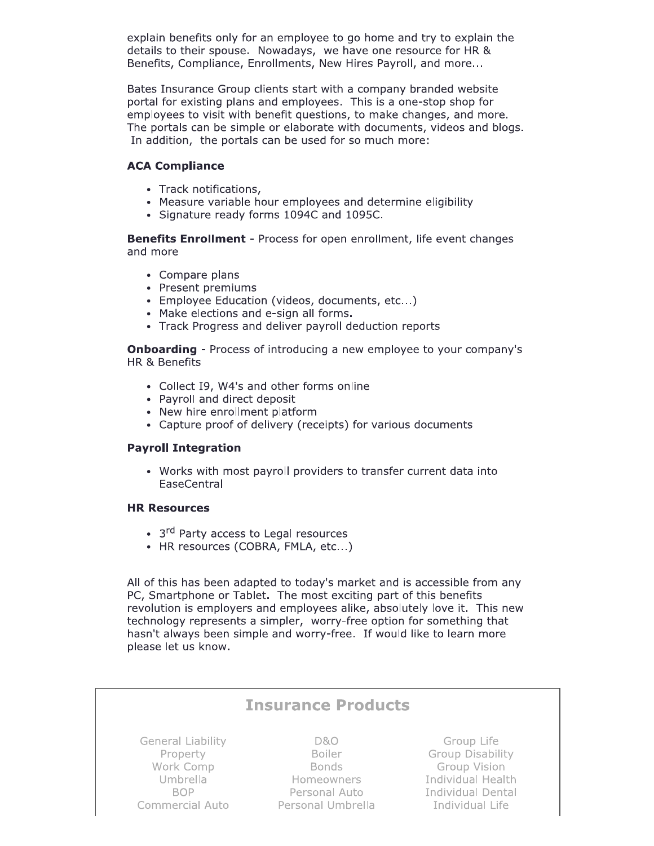explain benefits only for an employee to go home and try to explain the details to their spouse. Nowadays, we have one resource for HR & Benefits, Compliance, Enrollments, New Hires Payroll, and more...

Bates Insurance Group clients start with a company branded website portal for existing plans and employees. This is a one-stop shop for employees to visit with benefit questions, to make changes, and more. The portals can be simple or elaborate with documents, videos and blogs. In addition, the portals can be used for so much more:

### **ACA Compliance**

- Track notifications,
- Measure variable hour employees and determine eligibility
- Signature ready forms 1094C and 1095C.

**Benefits Enrollment** - Process for open enrollment, life event changes and more

- Compare plans
- Present premiums
- Employee Education (videos, documents, etc...)
- Make elections and e-sign all forms.
- Track Progress and deliver payroll deduction reports

**Onboarding** - Process of introducing a new employee to your company's HR & Benefits

- Collect I9, W4's and other forms online
- Payroll and direct deposit
- New hire enrollment platform
- Capture proof of delivery (receipts) for various documents

### **Payroll Integration**

• Works with most payroll providers to transfer current data into EaseCentral

#### **HR Resources**

- 3<sup>rd</sup> Party access to Legal resources
- HR resources (COBRA, FMLA, etc...)

All of this has been adapted to today's market and is accessible from any PC, Smartphone or Tablet. The most exciting part of this benefits revolution is employers and employees alike, absolutely love it. This new technology represents a simpler, worry-free option for something that hasn't always been simple and worry-free. If would like to learn more please let us know.

| <b>Insurance Products</b> |                   |                          |
|---------------------------|-------------------|--------------------------|
| <b>General Liability</b>  | <b>D&amp;O</b>    | Group Life               |
| Property                  | <b>Boiler</b>     | <b>Group Disability</b>  |
| Work Comp                 | <b>Bonds</b>      | <b>Group Vision</b>      |
| Umbrella                  | Homeowners        | <b>Individual Health</b> |
| <b>BOP</b>                | Personal Auto     | Individual Dental        |
| Commercial Auto           | Personal Umbrella | Individual Life          |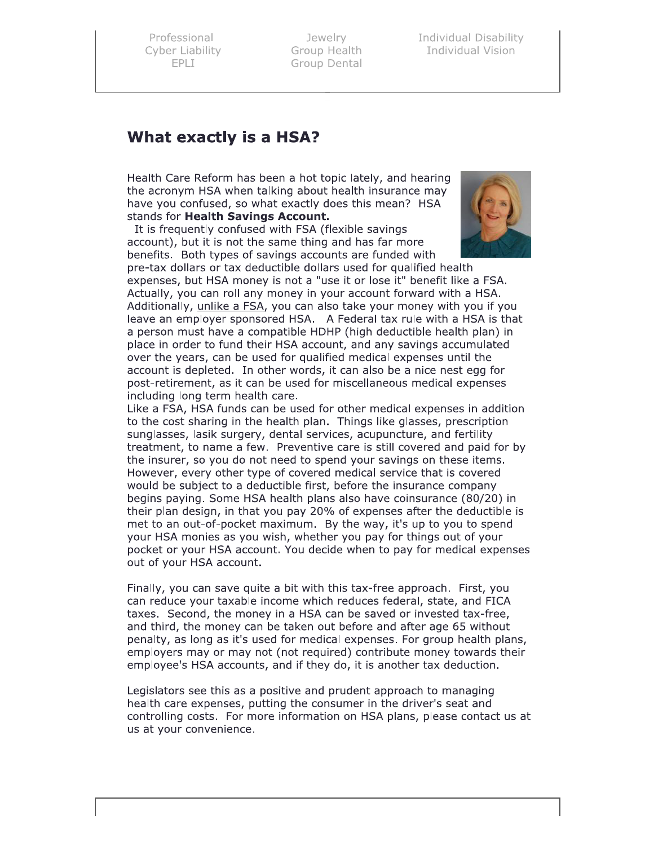Professional Cyber Liability

essional Jewelry<br>Filability Group Heal (FPLI)<br>EPLI Group Dent up Health Group D

elry Individual Disability<br>Health Individual Vision<br>Dental Individual Vision

Professional Jewelry<br>
Cyber Liability<br>
EPLI Group Health<br>
EPLI Group Dental<br> **What exactly is a HSA?**<br>
Health Care Reform has been a hot topic lately<br>
the acronym HSA when talking about health in<br>
have you confused, so wha Health Care Reform has been a hot topic lately, and hearing the acronym HSA when talking about health insurance may have you confused, so what exactly does this mean? HSA stands for Health Savings Account.

It is frequently confused with FSA (flexible savings account), but it is not the same thing and has far more benefits. Both types of savings accounts are funded with



pre-tax dollars or tax deductible dollars used for qualified health expenses, but HSA monev is not a "use it or lose it" benefit like a FSA. Actually, you can roll any money in your account forward with a HSA. Additionally, unlike a FSA, you can also take your money with you if you leave an employer sponsored HSA. A Federal tax rule with a HSA is that a person must have a compatible HDHP (high deductible health plan) in place in order to fund their HSA account, and any savings accumulated over the vears, can be used for qualified medical expenses until the account is depleted. In other words, it can also be a nice nest egg for post-retirement, as it can be used for miscellaneous medical expenses including long term health care.

Like a FSA, HSA funds can be used for other medical expenses in addition to the cost sharing in the health plan. Things like glasses, prescription sunglasses, lasik surgery, dental services, acupuncture, and fertility treatment, to name a few. Preventive care is still covered and paid for by the insurer, so you do not need to spend your savings on these items. However, every other type of covered medical service that is covered would be subject to a deductible first, before the insurance company begins paving. Some HSA health plans also have coinsurance (80/20) in their plan design, in that you pay 20% of expenses after the deductible is met to an out-of-pocket maximum. By the way, it's up to you to spend vour HSA monies as you wish, whether you pay for things out of your pocket or your HSA account. You decide when to pay for medical expenses out of your HSA account.

Finally, you can saye quite a bit with this tax-free approach. First, you can reduce your taxable income which reduces federal, state, and FICA taxes. Second, the money in a HSA can be saved or invested tax-free, and third, the money can be taken out before and after age 65 without penalty, as long as it's used for medical expenses. For group health plans, emplovers may or may not (not required) contribute money towards their employee's HSA accounts, and if they do, it is another tax deduction.

Legislators see this as a positive and prudent approach to managing health care expenses, putting the consumer in the driver's seat and controlling costs. For more information on HSA plans, please contact us at us at your convenience.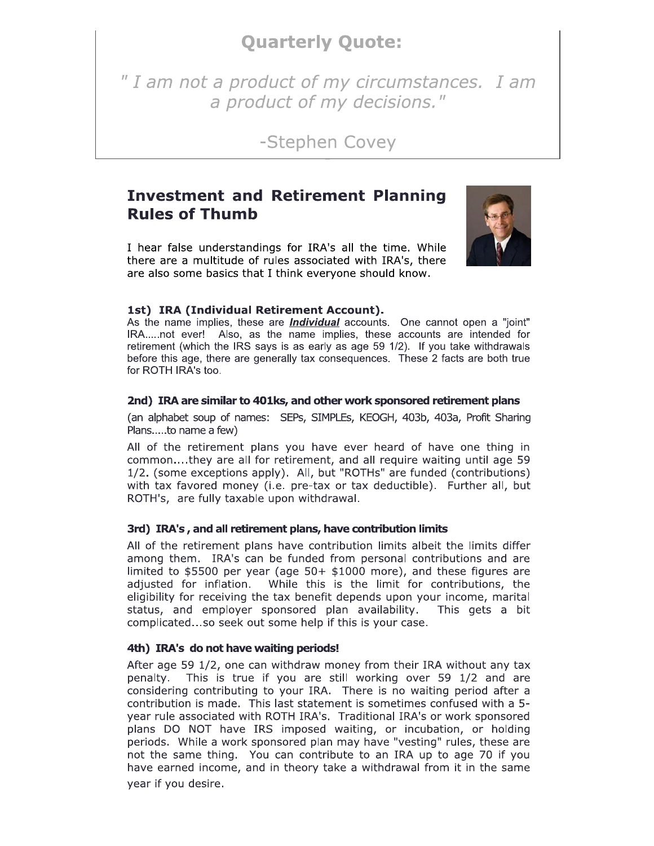### **Quarterly Quote:**

" I am not a product of my circumstances. I am a product of my decisions."

-Stephen Covey

### **Investment and Retirement Planning Rules of Thumb**

I hear false understandings for IRA's all the time. While there are a multitude of rules associated with IRA's, there are also some basics that I think everyone should know.



### 1st) IRA (Individual Retirement Account).

As the name implies, these are *Individual* accounts. One cannot open a "joint" IRA.....not ever! Also, as the name implies, these accounts are intended for retirement (which the IRS says is as early as age 59 1/2). If you take withdrawals before this age, there are generally tax consequences. These 2 facts are both true for ROTH IRA's too.

#### 2nd) IRA are similar to 401ks, and other work sponsored retirement plans

(an alphabet soup of names: SEPs, SIMPLEs, KEOGH, 403b, 403a, Profit Sharing Plans.....to name a few)

All of the retirement plans you have ever heard of have one thing in common....they are all for retirement, and all require waiting until age 59 1/2. (some exceptions apply). All, but "ROTHs" are funded (contributions) with tax favored money (i.e. pre-tax or tax deductible). Further all, but ROTH's, are fully taxable upon withdrawal.

### 3rd) IRA's, and all retirement plans, have contribution limits

All of the retirement plans have contribution limits albeit the limits differ among them. IRA's can be funded from personal contributions and are limited to \$5500 per year (age  $50+$  \$1000 more), and these figures are adjusted for inflation. While this is the limit for contributions, the eligibility for receiving the tax benefit depends upon your income, marital status, and employer sponsored plan availability. This gets a bit complicated...so seek out some help if this is your case.

#### 4th) IRA's do not have waiting periods!

After age 59 1/2, one can withdraw money from their IRA without any tax This is true if you are still working over 59 1/2 and are penalty. considering contributing to your IRA. There is no waiting period after a contribution is made. This last statement is sometimes confused with a 5year rule associated with ROTH IRA's. Traditional IRA's or work sponsored plans DO NOT have IRS imposed waiting, or incubation, or holding periods. While a work sponsored plan may have "vesting" rules, these are not the same thing. You can contribute to an IRA up to age 70 if you have earned income, and in theory take a withdrawal from it in the same year if you desire.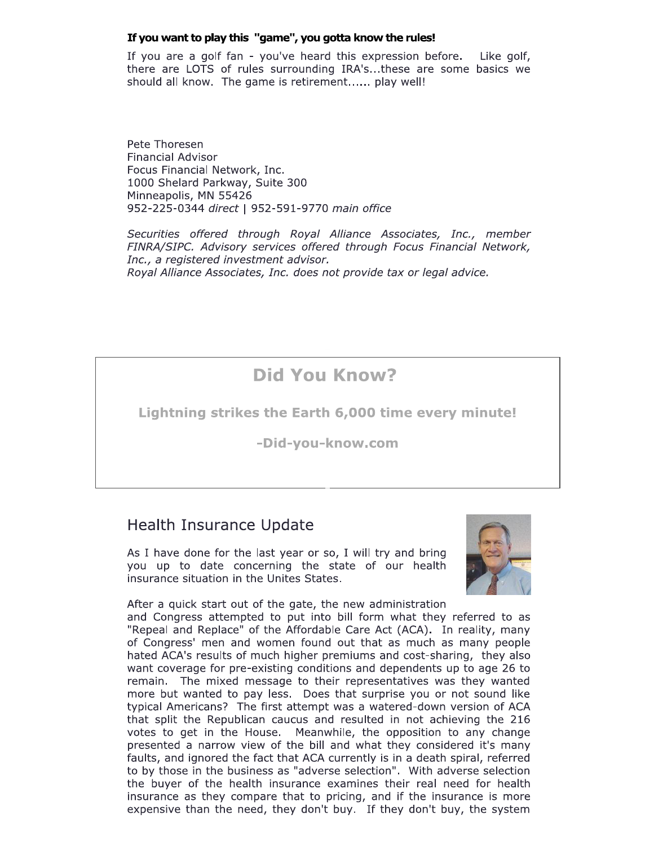### If you want to play this "game", you gotta know the rules!

If you are a golf fan - you've heard this expression before. Like golf, there are LOTS of rules surrounding IRA's...these are some basics we should all know. The game is retirement...... play well!

Pete Thoresen **Financial Advisor** Focus Financial Network, Inc. 1000 Shelard Parkway, Suite 300 Minneapolis, MN 55426 952-225-0344 direct | 952-591-9770 main office

Securities offered through Royal Alliance Associates, Inc., member FINRA/SIPC. Advisory services offered through Focus Financial Network, Inc., a registered investment advisor. Royal Alliance Associates, Inc. does not provide tax or legal advice.

## **Did You Know?**

Lightning strikes the Earth 6,000 time every minute!

-Did-you-know.com

### **Health Insurance Update**

As I have done for the last year or so, I will try and bring you up to date concerning the state of our health insurance situation in the Unites States.



After a quick start out of the gate, the new administration and Congress attempted to put into bill form what they referred to as "Repeal and Replace" of the Affordable Care Act (ACA). In reality, many of Congress' men and women found out that as much as many people hated ACA's results of much higher premiums and cost-sharing, they also want coverage for pre-existing conditions and dependents up to age 26 to remain. The mixed message to their representatives was they wanted more but wanted to pay less. Does that surprise you or not sound like typical Americans? The first attempt was a watered-down version of ACA that split the Republican caucus and resulted in not achieving the 216 votes to get in the House. Meanwhile, the opposition to any change presented a narrow view of the bill and what they considered it's many faults, and ignored the fact that ACA currently is in a death spiral, referred to by those in the business as "adverse selection". With adverse selection the buyer of the health insurance examines their real need for health insurance as they compare that to pricing, and if the insurance is more expensive than the need, they don't buy. If they don't buy, the system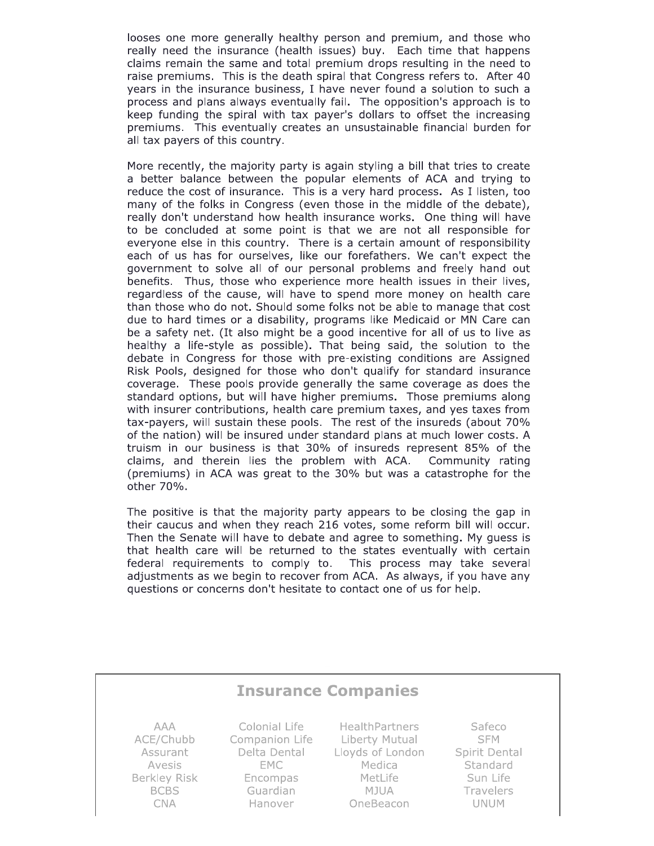looses one more generally healthy person and premium, and those who really need the insurance (health issues) buy. Each time that happens claims remain the same and total premium drops resulting in the need to raise premiums. This is the death spiral that Congress refers to. After 40 years in the insurance business, I have never found a solution to such a process and plans always eventually fail. The opposition's approach is to keep funding the spiral with tax payer's dollars to offset the increasing premiums. This eventually creates an unsustainable financial burden for all tax payers of this country.

More recently, the majority party is again styling a bill that tries to create a better balance between the popular elements of ACA and trying to reduce the cost of insurance. This is a very hard process. As I listen, too many of the folks in Congress (even those in the middle of the debate), really don't understand how health insurance works. One thing will have to be concluded at some point is that we are not all responsible for everyone else in this country. There is a certain amount of responsibility each of us has for ourselves, like our forefathers. We can't expect the government to solve all of our personal problems and freely hand out benefits. Thus, those who experience more health issues in their lives, regardless of the cause, will have to spend more money on health care than those who do not. Should some folks not be able to manage that cost due to hard times or a disability, programs like Medicaid or MN Care can be a safety net. (It also might be a good incentive for all of us to live as healthy a life-style as possible). That being said, the solution to the debate in Congress for those with pre-existing conditions are Assigned Risk Pools, designed for those who don't qualify for standard insurance coverage. These pools provide generally the same coverage as does the standard options, but will have higher premiums. Those premiums along with insurer contributions, health care premium taxes, and yes taxes from tax-payers, will sustain these pools. The rest of the insureds (about 70% of the nation) will be insured under standard plans at much lower costs. A truism in our business is that 30% of insureds represent 85% of the claims, and therein lies the problem with ACA. Community rating (premiums) in ACA was great to the 30% but was a catastrophe for the other 70%.

The positive is that the majority party appears to be closing the gap in their caucus and when they reach 216 votes, some reform bill will occur. Then the Senate will have to debate and agree to something. My guess is that health care will be returned to the states eventually with certain federal requirements to comply to. This process may take several adjustments as we begin to recover from ACA. As always, if you have any questions or concerns don't hesitate to contact one of us for help.

#### **Insurance Companies** Colonial Life Safeco **AAA HealthPartners SFM** ACE/Chubb Companion Life Liberty Mutual Assurant Delta Dental Lloyds of London Spirit Dental Avesis EMC Medica Standard Berkley Risk Encompas MetLife Sun Life **BCBS** Guardian Mjua Travelers **CNA** Hanover OneBeacon **UNUM**